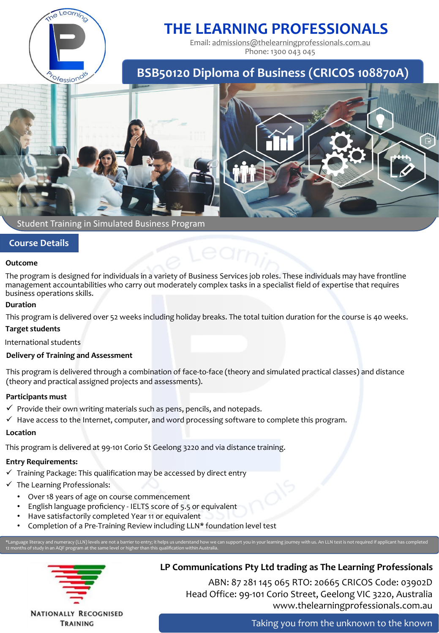

# **THE LEARNING PROFESSIONALS**

Email: [admissions@thelearningprofessionals.com.au](mailto:admissions@thelearningprofessionals.com.au) Phone: 1300 043 045

## **BSB50120 Diploma of Business (CRICOS 108870A)**



### Student Training in Simulated Business Program

### **Course Details**

#### **Outcome**

The program is designed for individuals in a variety of Business Services job roles. These individuals may have frontline management accountabilities who carry out moderately complex tasks in a specialist field of expertise that requires business operations skills.

#### **Duration**

This program is delivered over 52 weeks including holiday breaks. The total tuition duration for the course is 40 weeks.

### **Target students**

International students

### **Delivery of Training and Assessment**

This program is delivered through a combination of face-to-face (theory and simulated practical classes) and distance (theory and practical assigned projects and assessments).

### **Participants must**

 $\checkmark$  Provide their own writing materials such as pens, pencils, and notepads.

 $\checkmark$  Have access to the Internet, computer, and word processing software to complete this program.

### **Location**

This program is delivered at 99-101 Corio St Geelong 3220 and via distance training.

### **Entry Requirements:**

- $\checkmark$  Training Package: This qualification may be accessed by direct entry
- $\checkmark$  The Learning Professionals:
	- Over 18 years of age on course commencement
	- English language proficiency IELTS score of 5.5 or equivalent
	- Have satisfactorily completed Year 11 or equivalent
	- Completion of a Pre-Training Review including LLN\* foundation level test

\*Language literacy and numeracy (LLN) levels are not a barrier to entry; it helps us understand how we can support you in your learning journey with us. An LLN test is not required if applicant has completed 12 months of study in an AQF program at the same level or higher than this qualification within Australia.



TRAINING

### **LP Communications Pty Ltd trading as The Learning Professionals**

ABN: 87 281 145 065 RTO: 20665 CRICOS Code: 03902D Head Office: 99-101 Corio Street, Geelong VIC 3220, Australia www.thelearningprofessionals.com.au

Taking you from the unknown to the known